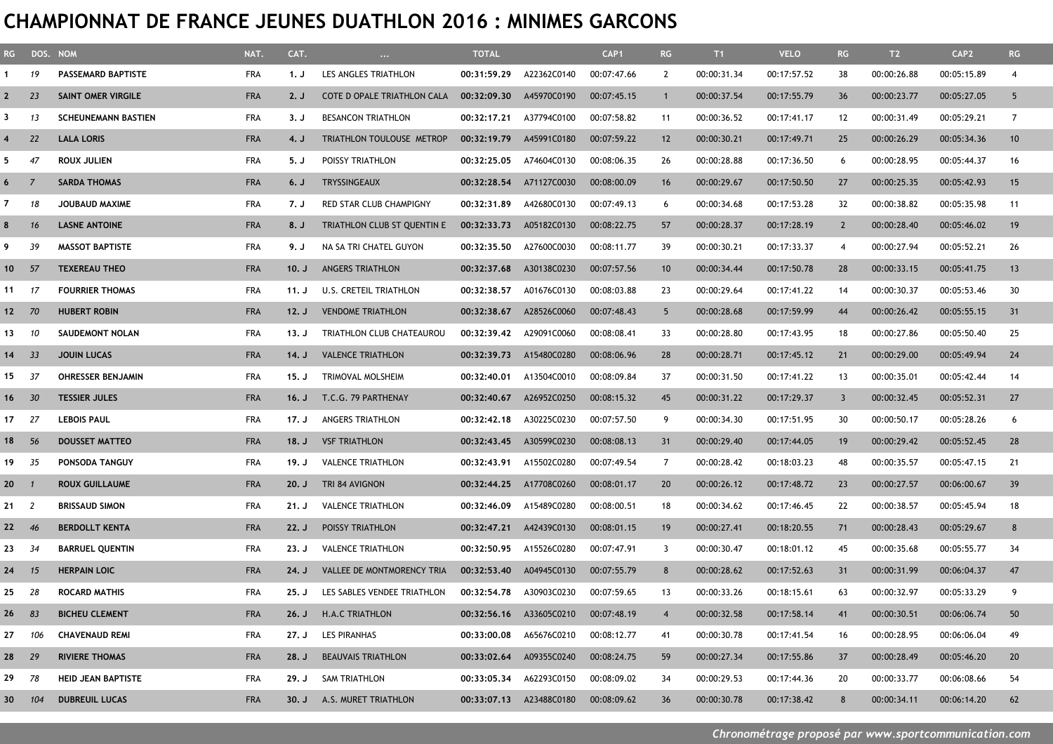## **CHAMPIONNAT DE FRANCE JEUNES DUATHLON 2016 : MINIMES GARCONS**

| RG -            | DOS. NOM       |                            | NAT.       | CAT.  | $\sim 100$                  | <b>TOTAL</b> |                         | CAP <sub>1</sub> | RG                | T1          | <b>VELO</b> | RG             | T2          | CAP <sub>2</sub> | <b>RG</b>       |
|-----------------|----------------|----------------------------|------------|-------|-----------------------------|--------------|-------------------------|------------------|-------------------|-------------|-------------|----------------|-------------|------------------|-----------------|
|                 | 19             | PASSEMARD BAPTISTE         | FRA        | 1. J  | LES ANGLES TRIATHLON        | 00:31:59.29  | A22362C0140             | 00:07:47.66      | 2                 | 00:00:31.34 | 00:17:57.52 | 38             | 00:00:26.88 | 00:05:15.89      | $\overline{4}$  |
| $\mathbf{2}$    | 23             | <b>SAINT OMER VIRGILE</b>  | <b>FRA</b> | 2. J  | COTE D OPALE TRIATHLON CALA | 00:32:09.30  | A45970C0190             | 00:07:45.15      |                   | 00:00:37.54 | 00:17:55.79 | 36             | 00:00:23.77 | 00:05:27.05      | 5 <sup>5</sup>  |
| 3               | 13             | <b>SCHEUNEMANN BASTIEN</b> | FRA        | 3. J  | <b>BESANCON TRIATHLON</b>   | 00:32:17.21  | A37794C0100             | 00:07:58.82      | 11                | 00:00:36.52 | 00:17:41.17 | 12             | 00:00:31.49 | 00:05:29.21      | 7               |
| 4               | 22             | <b>LALA LORIS</b>          | <b>FRA</b> | 4. J  | TRIATHLON TOULOUSE METROP   | 00:32:19.79  | A45991C0180             | 00:07:59.22      | $12 \overline{ }$ | 00:00:30.21 | 00:17:49.71 | 25             | 00:00:26.29 | 00:05:34.36      | 10 <sup>°</sup> |
| 5               | 47             | ROUX JULIEN                | FRA        | 5. J  | POISSY TRIATHLON            | 00:32:25.05  | A74604C0130             | 00:08:06.35      | 26                | 00:00:28.88 | 00:17:36.50 | 6              | 00:00:28.95 | 00:05:44.37      | 16              |
| 6               | $\overline{7}$ | <b>SARDA THOMAS</b>        | <b>FRA</b> | 6. J  | <b>TRYSSINGEAUX</b>         | 00:32:28.54  | A71127C0030             | 00:08:00.09      | 16                | 00:00:29.67 | 00:17:50.50 | 27             | 00:00:25.35 | 00:05:42.93      | 15              |
| 7               | 18             | JOUBAUD MAXIME             | FRA        | 7. J  | RED STAR CLUB CHAMPIGNY     | 00:32:31.89  | A42680C0130             | 00:07:49.13      | 6                 | 00:00:34.68 | 00:17:53.28 | 32             | 00:00:38.82 | 00:05:35.98      | 11              |
| 8               | 16             | <b>LASNE ANTOINE</b>       | <b>FRA</b> | 8. J  | TRIATHLON CLUB ST QUENTIN E | 00:32:33.73  | A05182C0130             | 00:08:22.75      | 57                | 00:00:28.37 | 00:17:28.19 | $\overline{2}$ | 00:00:28.40 | 00:05:46.02      | 19              |
| 9.              | 39             | <b>MASSOT BAPTISTE</b>     | FRA        | 9. J  | NA SA TRI CHATEL GUYON      | 00:32:35.50  | A27600C0030             | 00:08:11.77      | 39                | 00:00:30.21 | 00:17:33.37 | $\overline{4}$ | 00:00:27.94 | 00:05:52.21      | 26              |
| 10              | - 57           | <b>TEXEREAU THEO</b>       | <b>FRA</b> | 10, J | <b>ANGERS TRIATHLON</b>     | 00:32:37.68  | A30138C0230             | 00:07:57.56      | 10                | 00:00:34.44 | 00:17:50.78 | 28             | 00:00:33.15 | 00:05:41.75      | 13              |
| $11 \t 17$      |                | <b>FOURRIER THOMAS</b>     | FRA        | 11. J | U.S. CRETEIL TRIATHLON      | 00:32:38.57  | A01676C0130             | 00:08:03.88      | 23                | 00:00:29.64 | 00:17:41.22 | 14             | 00:00:30.37 | 00:05:53.46      | 30              |
| 12 70           |                | <b>HUBERT ROBIN</b>        | <b>FRA</b> | 12. J | <b>VENDOME TRIATHLON</b>    | 00:32:38.67  | A28526C0060             | 00:07:48.43      | 5                 | 00:00:28.68 | 00:17:59.99 | 44             | 00:00:26.42 | 00:05:55.15      | 31              |
| 13              | - 10           | SAUDEMONT NOLAN            | FRA        | 13. J | TRIATHLON CLUB CHATEAUROU   | 00:32:39.42  | A29091C0060             | 00:08:08.41      | 33                | 00:00:28.80 | 00:17:43.95 | 18             | 00:00:27.86 | 00:05:50.40      | 25              |
| 14              | 33             | <b>JOUIN LUCAS</b>         | <b>FRA</b> | 14. J | <b>VALENCE TRIATHLON</b>    | 00:32:39.73  | A15480C0280             | 00:08:06.96      | 28                | 00:00:28.71 | 00:17:45.12 | 21             | 00:00:29.00 | 00:05:49.94      | 24              |
| 15              | - 37           | <b>OHRESSER BENJAMIN</b>   | FRA        | 15. J | TRIMOVAL MOLSHEIM           | 00:32:40.01  | A13504C0010             | 00:08:09.84      | 37                | 00:00:31.50 | 00:17:41.22 | 13             | 00:00:35.01 | 00:05:42.44      | 14              |
| $16 \t 30$      |                | <b>TESSIER JULES</b>       | <b>FRA</b> | 16. J | T.C.G. 79 PARTHENAY         | 00:32:40.67  | A26952C0250             | 00:08:15.32      | 45                | 00:00:31.22 | 00:17:29.37 | 3              | 00:00:32.45 | 00:05:52.31      | 27              |
| 17 27           |                | <b>LEBOIS PAUL</b>         | FRA        | 17. J | <b>ANGERS TRIATHLON</b>     | 00:32:42.18  | A30225C0230             | 00:07:57.50      | 9                 | 00:00:34.30 | 00:17:51.95 | 30             | 00:00:50.17 | 00:05:28.26      | 6               |
| 18 56           |                | <b>DOUSSET MATTEO</b>      | <b>FRA</b> | 18. J | <b>VSF TRIATHLON</b>        | 00:32:43.45  | A30599C0230             | 00:08:08.13      | 31                | 00:00:29.40 | 00:17:44.05 | 19             | 00:00:29.42 | 00:05:52.45      | 28              |
| 19              | - 35           | PONSODA TANGUY             | FRA        | 19. J | <b>VALENCE TRIATHLON</b>    | 00:32:43.91  | A15502C0280             | 00:07:49.54      | 7                 | 00:00:28.42 | 00:18:03.23 | 48             | 00:00:35.57 | 00:05:47.15      | 21              |
| 20              | $\overline{1}$ | <b>ROUX GUILLAUME</b>      | <b>FRA</b> | 20. J | TRI 84 AVIGNON              | 00:32:44.25  | A17708C0260             | 00:08:01.17      | 20                | 00:00:26.12 | 00:17:48.72 | 23             | 00:00:27.57 | 00:06:00.67      | 39              |
| 21              | $\overline{2}$ | <b>BRISSAUD SIMON</b>      | FRA        | 21. J | <b>VALENCE TRIATHLON</b>    | 00:32:46.09  | A15489C0280             | 00:08:00.51      | 18                | 00:00:34.62 | 00:17:46.45 | 22             | 00:00:38.57 | 00:05:45.94      | 18              |
| $22 \t 46$      |                | <b>BERDOLLT KENTA</b>      | <b>FRA</b> | 22. J | POISSY TRIATHLON            | 00:32:47.21  | A42439C0130             | 00:08:01.15      | 19                | 00:00:27.41 | 00:18:20.55 | 71             | 00:00:28.43 | 00:05:29.67      | 8               |
| 23              | - 34           | <b>BARRUEL OUENTIN</b>     | FRA        | 23. J | <b>VALENCE TRIATHLON</b>    | 00:32:50.95  | A15526C0280             | 00:07:47.91      | 3                 | 00:00:30.47 | 00:18:01.12 | 45             | 00:00:35.68 | 00:05:55.77      | 34              |
| 24              | 15             | <b>HERPAIN LOIC</b>        | <b>FRA</b> | 24. J | VALLEE DE MONTMORENCY TRIA  | 00:32:53.40  | A04945C0130             | 00:07:55.79      | 8                 | 00:00:28.62 | 00:17:52.63 | 31             | 00:00:31.99 | 00:06:04.37      | 47              |
| 25              | -28            | <b>ROCARD MATHIS</b>       | FRA        | 25. J | LES SABLES VENDEE TRIATHLON | 00:32:54.78  | A30903C0230             | 00:07:59.65      | 13                | 00:00:33.26 | 00:18:15.61 | 63             | 00:00:32.97 | 00:05:33.29      | 9               |
| 26              | 83             | <b>BICHEU CLEMENT</b>      | <b>FRA</b> | 26. J | <b>H.A.C TRIATHLON</b>      |              |                         | 00:07:48.19      | $\overline{4}$    | 00:00:32.58 | 00:17:58.14 | 41             | 00:00:30.51 | 00:06:06.74      | 50              |
| 27              | 106            | <b>CHAVENAUD REMI</b>      | FRA        | 27. J | LES PIRANHAS                | 00:33:00.08  | A65676C0210             | 00:08:12.77      | 41                | 00:00:30.78 | 00:17:41.54 | 16             | 00:00:28.95 | 00:06:06.04      | 49              |
| 28              | 29             | <b>RIVIERE THOMAS</b>      | <b>FRA</b> | 28. J | <b>BEAUVAIS TRIATHLON</b>   | 00:33:02.64  | A09355C0240             | 00:08:24.75      | 59                | 00:00:27.34 | 00:17:55.86 | 37             | 00:00:28.49 | 00:05:46.20      | 20              |
| 29              | 78             | <b>HEID JEAN BAPTISTE</b>  | FRA        | 29. J | <b>SAM TRIATHLON</b>        | 00:33:05.34  | A62293C0150             | 00:08:09.02      | 34                | 00:00:29.53 | 00:17:44.36 | 20             | 00:00:33.77 | 00:06:08.66      | 54              |
| 30 <sub>o</sub> | 104            | <b>DUBREUIL LUCAS</b>      | <b>FRA</b> | 30, J | A.S. MURET TRIATHLON        |              | 00:33:07.13 A23488C0180 | 00:08:09.62      | 36                | 00:00:30.78 | 00:17:38.42 | 8              | 00:00:34.11 | 00:06:14.20      | 62              |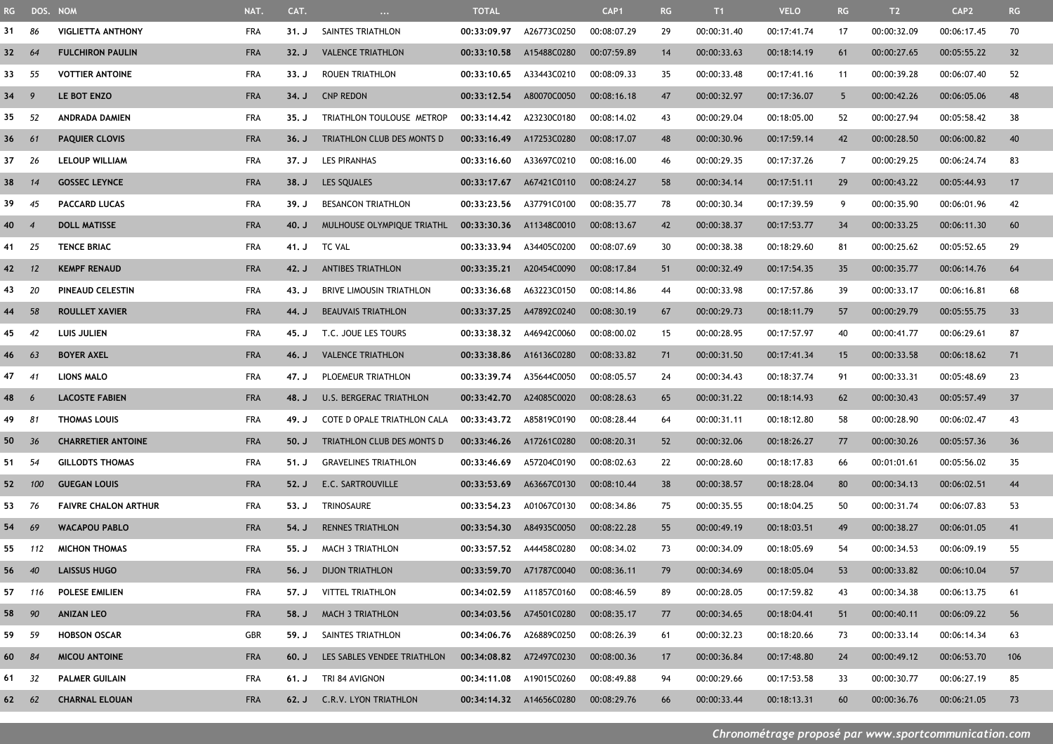| <b>RG</b> | DOS. NOM       |                             | NAT.       | CAT.  | $\ldots$                        | <b>TOTAL</b>            |             | CAP <sub>1</sub> | RG | T <sub>1</sub> | <b>VELO</b> | RG             | T <sub>2</sub> | CAP <sub>2</sub> | RG              |
|-----------|----------------|-----------------------------|------------|-------|---------------------------------|-------------------------|-------------|------------------|----|----------------|-------------|----------------|----------------|------------------|-----------------|
| 31        | 86             | <b>VIGLIETTA ANTHONY</b>    | <b>FRA</b> | 31. J | SAINTES TRIATHLON               | 00:33:09.97             | A26773C0250 | 00:08:07.29      | 29 | 00:00:31.40    | 00:17:41.74 | 17             | 00:00:32.09    | 00:06:17.45      | 70              |
| 32        | - 64           | <b>FULCHIRON PAULIN</b>     | <b>FRA</b> | 32. J | <b>VALENCE TRIATHLON</b>        | 00:33:10.58             | A15488C0280 | 00:07:59.89      | 14 | 00:00:33.63    | 00:18:14.19 | 61             | 00:00:27.65    | 00:05:55.22      | 32              |
| 33        | 55             | <b>VOTTIER ANTOINE</b>      | <b>FRA</b> | 33. J | <b>ROUEN TRIATHLON</b>          | 00:33:10.65             | A33443C0210 | 00:08:09.33      | 35 | 00:00:33.48    | 00:17:41.16 | 11             | 00:00:39.28    | 00:06:07.40      | 52              |
| 34        | $\overline{9}$ | LE BOT ENZO                 | <b>FRA</b> | 34. J | <b>CNP REDON</b>                | 00:33:12.54             | A80070C0050 | 00:08:16.18      | 47 | 00:00:32.97    | 00:17:36.07 | 5              | 00:00:42.26    | 00:06:05.06      | 48              |
| 35        | 52             | ANDRADA DAMIEN              | <b>FRA</b> | 35. J | TRIATHLON TOULOUSE METROP       | 00:33:14.42             | A23230C0180 | 00:08:14.02      | 43 | 00:00:29.04    | 00:18:05.00 | 52             | 00:00:27.94    | 00:05:58.42      | 38              |
| 36        | 61             | <b>PAQUIER CLOVIS</b>       | <b>FRA</b> | 36. J | TRIATHLON CLUB DES MONTS D      | 00:33:16.49             | A17253C0280 | 00:08:17.07      | 48 | 00:00:30.96    | 00:17:59.14 | 42             | 00:00:28.50    | 00:06:00.82      | 40              |
| 37        | -26            | <b>LELOUP WILLIAM</b>       | <b>FRA</b> | 37. J | <b>LES PIRANHAS</b>             | 00:33:16.60             | A33697C0210 | 00:08:16.00      | 46 | 00:00:29.35    | 00:17:37.26 | $\overline{7}$ | 00:00:29.25    | 00:06:24.74      | 83              |
| 38        | 14             | <b>GOSSEC LEYNCE</b>        | <b>FRA</b> | 38. J | LES SQUALES                     | 00:33:17.67             | A67421C0110 | 00:08:24.27      | 58 | 00:00:34.14    | 00:17:51.11 | 29             | 00:00:43.22    | 00:05:44.93      | 17              |
| 39        | 45             | <b>PACCARD LUCAS</b>        | <b>FRA</b> | 39. J | <b>BESANCON TRIATHLON</b>       | 00:33:23.56             | A37791C0100 | 00:08:35.77      | 78 | 00:00:30.34    | 00:17:39.59 | 9              | 00:00:35.90    | 00:06:01.96      | 42              |
| 40        | $\overline{4}$ | <b>DOLL MATISSE</b>         | <b>FRA</b> | 40. J | MULHOUSE OLYMPIQUE TRIATHL      | 00:33:30.36             | A11348C0010 | 00:08:13.67      | 42 | 00:00:38.37    | 00:17:53.77 | 34             | 00:00:33.25    | 00:06:11.30      | 60              |
| 41        | - 25           | <b>TENCE BRIAC</b>          | <b>FRA</b> | 41. J | <b>TC VAL</b>                   | 00:33:33.94             | A34405C0200 | 00:08:07.69      | 30 | 00:00:38.38    | 00:18:29.60 | 81             | 00:00:25.62    | 00:05:52.65      | 29              |
| 42        | 12             | <b>KEMPF RENAUD</b>         | <b>FRA</b> | 42. J | <b>ANTIBES TRIATHLON</b>        | 00:33:35.21             | A20454C0090 | 00:08:17.84      | 51 | 00:00:32.49    | 00:17:54.35 | 35             | 00:00:35.77    | 00:06:14.76      | 64              |
| 43        | -20            | PINEAUD CELESTIN            | <b>FRA</b> | 43. J | <b>BRIVE LIMOUSIN TRIATHLON</b> | 00:33:36.68             | A63223C0150 | 00:08:14.86      | 44 | 00:00:33.98    | 00:17:57.86 | 39             | 00:00:33.17    | 00:06:16.81      | 68              |
| 44        | 58             | <b>ROULLET XAVIER</b>       | <b>FRA</b> | 44. J | <b>BEAUVAIS TRIATHLON</b>       | 00:33:37.25             | A47892C0240 | 00:08:30.19      | 67 | 00:00:29.73    | 00:18:11.79 | 57             | 00:00:29.79    | 00:05:55.75      | 33 <sup>2</sup> |
| 45        | 42             | <b>LUIS JULIEN</b>          | <b>FRA</b> | 45. J | T.C. JOUE LES TOURS             | 00:33:38.32             | A46942C0060 | 00:08:00.02      | 15 | 00:00:28.95    | 00:17:57.97 | 40             | 00:00:41.77    | 00:06:29.61      | 87              |
| 46        | 63             | <b>BOYER AXEL</b>           | <b>FRA</b> | 46. J | <b>VALENCE TRIATHLON</b>        | 00:33:38.86             | A16136C0280 | 00:08:33.82      | 71 | 00:00:31.50    | 00:17:41.34 | 15             | 00:00:33.58    | 00:06:18.62      | 71              |
| 47        | -41            | <b>LIONS MALO</b>           | <b>FRA</b> | 47. J | PLOEMEUR TRIATHLON              | 00:33:39.74             | A35644C0050 | 00:08:05.57      | 24 | 00:00:34.43    | 00:18:37.74 | 91             | 00:00:33.31    | 00:05:48.69      | 23              |
| 48        | 6              | <b>LACOSTE FABIEN</b>       | <b>FRA</b> | 48. J | <b>U.S. BERGERAC TRIATHLON</b>  | 00:33:42.70             | A24085C0020 | 00:08:28.63      | 65 | 00:00:31.22    | 00:18:14.93 | 62             | 00:00:30.43    | 00:05:57.49      | 37              |
| 49        | -81            | <b>THOMAS LOUIS</b>         | <b>FRA</b> | 49. J | COTE D OPALE TRIATHLON CALA     | 00:33:43.72             | A85819C0190 | 00:08:28.44      | 64 | 00:00:31.11    | 00:18:12.80 | 58             | 00:00:28.90    | 00:06:02.47      | 43              |
| 50        | - 36           | <b>CHARRETIER ANTOINE</b>   | <b>FRA</b> | 50, J | TRIATHLON CLUB DES MONTS D      | 00:33:46.26             | A17261C0280 | 00:08:20.31      | 52 | 00:00:32.06    | 00:18:26.27 | 77             | 00:00:30.26    | 00:05:57.36      | 36              |
| 51        | 54             | <b>GILLODTS THOMAS</b>      | <b>FRA</b> | 51. J | <b>GRAVELINES TRIATHLON</b>     | 00:33:46.69             | A57204C0190 | 00:08:02.63      | 22 | 00:00:28.60    | 00:18:17.83 | 66             | 00:01:01.61    | 00:05:56.02      | 35              |
| 52        | 100            | <b>GUEGAN LOUIS</b>         | <b>FRA</b> | 52. J | E.C. SARTROUVILLE               | 00:33:53.69             | A63667C0130 | 00:08:10.44      | 38 | 00:00:38.57    | 00:18:28.04 | 80             | 00:00:34.13    | 00:06:02.51      | 44              |
| 53        | 76             | <b>FAIVRE CHALON ARTHUR</b> | <b>FRA</b> | 53. J | TRINOSAURE                      | 00:33:54.23             | A01067C0130 | 00:08:34.86      | 75 | 00:00:35.55    | 00:18:04.25 | 50             | 00:00:31.74    | 00:06:07.83      | 53              |
| 54        | 69             | <b>WACAPOU PABLO</b>        | <b>FRA</b> | 54. J | <b>RENNES TRIATHLON</b>         | 00:33:54.30             | A84935C0050 | 00:08:22.28      | 55 | 00:00:49.19    | 00:18:03.51 | 49             | 00:00:38.27    | 00:06:01.05      | 41              |
| 55        | 112            | <b>MICHON THOMAS</b>        | <b>FRA</b> | 55. J | MACH 3 TRIATHLON                | 00:33:57.52 A44458C0280 |             | 00:08:34.02      | 73 | 00:00:34.09    | 00:18:05.69 | 54             | 00:00:34.53    | 00:06:09.19      | 55              |
| 56        | - 40           | <b>LAISSUS HUGO</b>         | <b>FRA</b> | 56. J | <b>DIJON TRIATHLON</b>          | 00:33:59.70 A71787C0040 |             | 00:08:36.11      | 79 | 00:00:34.69    | 00:18:05.04 | 53             | 00:00:33.82    | 00:06:10.04      | 57              |
| 57        | 116            | <b>POLESE EMILIEN</b>       | <b>FRA</b> | 57. J | <b>VITTEL TRIATHLON</b>         | 00:34:02.59 A11857C0160 |             | 00:08:46.59      | 89 | 00:00:28.05    | 00:17:59.82 | 43             | 00:00:34.38    | 00:06:13.75      | 61              |
| 58        | 90             | <b>ANIZAN LEO</b>           | <b>FRA</b> | 58. J | <b>MACH 3 TRIATHLON</b>         | 00:34:03.56 A74501C0280 |             | 00:08:35.17      | 77 | 00:00:34.65    | 00:18:04.41 | 51             | 00:00:40.11    | 00:06:09.22      | 56              |
| 59        | 59             | <b>HOBSON OSCAR</b>         | GBR        | 59. J | SAINTES TRIATHLON               | 00:34:06.76             | A26889C0250 | 00:08:26.39      | 61 | 00:00:32.23    | 00:18:20.66 | 73             | 00:00:33.14    | 00:06:14.34      | 63              |
| 60        | 84             | <b>MICOU ANTOINE</b>        | <b>FRA</b> | 60. J | LES SABLES VENDEE TRIATHLON     | 00:34:08.82 A72497C0230 |             | 00:08:00.36      | 17 | 00:00:36.84    | 00:17:48.80 | 24             | 00:00:49.12    | 00:06:53.70      | 106             |
| 61 32     |                | <b>PALMER GUILAIN</b>       | <b>FRA</b> | 61. J | TRI 84 AVIGNON                  | 00:34:11.08 A19015C0260 |             | 00:08:49.88      | 94 | 00:00:29.66    | 00:17:53.58 | 33             | 00:00:30.77    | 00:06:27.19      | 85              |
| 62 62     |                | <b>CHARNAL ELOUAN</b>       | <b>FRA</b> |       | 62. J C.R.V. LYON TRIATHLON     | 00:34:14.32 A14656C0280 |             | 00:08:29.76      | 66 | 00:00:33.44    | 00:18:13.31 | 60             | 00:00:36.76    | 00:06:21.05      | 73              |
|           |                |                             |            |       |                                 |                         |             |                  |    |                |             |                |                |                  |                 |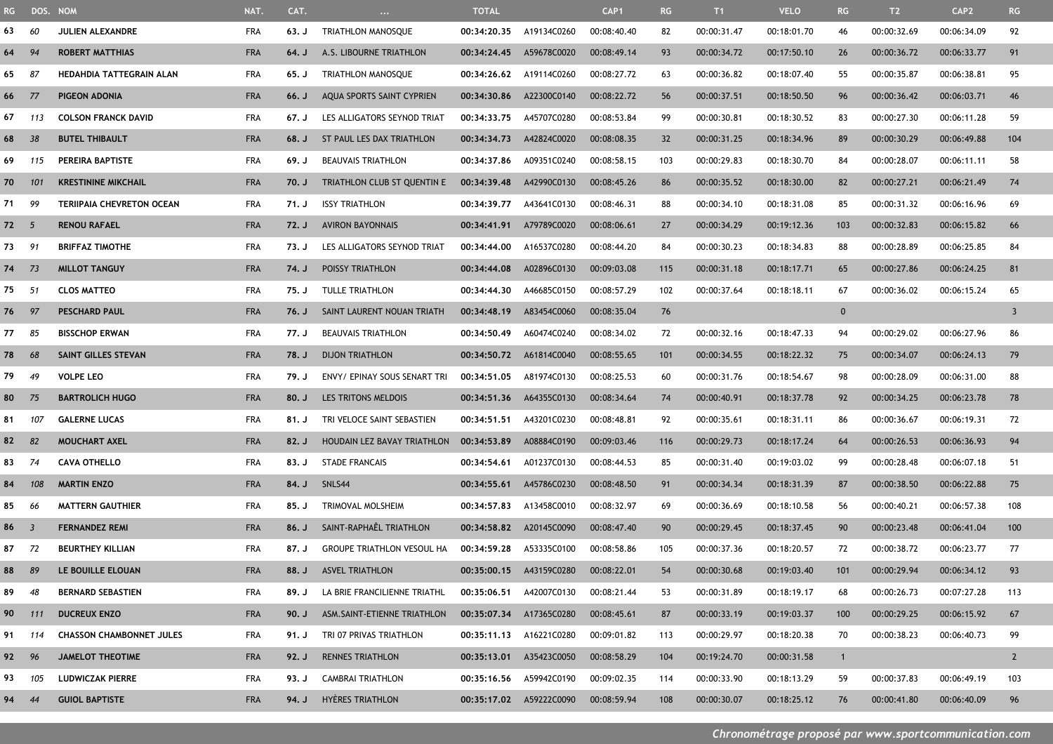| <b>RG</b> | DOS. NOM                 |                                 | NAT.       | CAT.  | $\ldots$                          | <b>TOTAL</b>            |                         | CAP <sub>1</sub> | RG  | T1          | <b>VELO</b> | RG           | T2          | CAP <sub>2</sub> | RG             |
|-----------|--------------------------|---------------------------------|------------|-------|-----------------------------------|-------------------------|-------------------------|------------------|-----|-------------|-------------|--------------|-------------|------------------|----------------|
| 63        | 60                       | JULIEN ALEXANDRE                | <b>FRA</b> | 63. J | TRIATHLON MANOSQUE                | 00:34:20.35             | A19134C0260             | 00:08:40.40      | 82  | 00:00:31.47 | 00:18:01.70 | 46           | 00:00:32.69 | 00:06:34.09      | 92             |
| 64        | 94                       | <b>ROBERT MATTHIAS</b>          | <b>FRA</b> | 64. J | A.S. LIBOURNE TRIATHLON           | 00:34:24.45             | A59678C0020             | 00:08:49.14      | 93  | 00:00:34.72 | 00:17:50.10 | 26           | 00:00:36.72 | 00:06:33.77      | 91             |
| 65        | 87                       | HEDAHDIA TATTEGRAIN ALAN        | <b>FRA</b> | 65. J | TRIATHLON MANOSQUE                | 00:34:26.62             | A19114C0260             | 00:08:27.72      | 63  | 00:00:36.82 | 00:18:07.40 | 55           | 00:00:35.87 | 00:06:38.81      | 95             |
| 66        | 77                       | PIGEON ADONIA                   | <b>FRA</b> | 66. J | <b>AQUA SPORTS SAINT CYPRIEN</b>  | 00:34:30.86             | A22300C0140             | 00:08:22.72      | 56  | 00:00:37.51 | 00:18:50.50 | 96           | 00:00:36.42 | 00:06:03.71      | 46             |
| 67        | 113                      | <b>COLSON FRANCK DAVID</b>      | FRA        | 67. J | LES ALLIGATORS SEYNOD TRIAT       | 00:34:33.75             | A45707C0280             | 00:08:53.84      | 99  | 00:00:30.81 | 00:18:30.52 | 83           | 00:00:27.30 | 00:06:11.28      | 59             |
| 68        | 38                       | <b>BUTEL THIBAULT</b>           | <b>FRA</b> | 68. J | ST PAUL LES DAX TRIATHLON         | 00:34:34.73             | A42824C0020             | 00:08:08.35      | 32  | 00:00:31.25 | 00:18:34.96 | 89           | 00:00:30.29 | 00:06:49.88      | 104            |
| 69        | - 115                    | PEREIRA BAPTISTE                | <b>FRA</b> | 69. J | <b>BEAUVAIS TRIATHLON</b>         | 00:34:37.86             | A09351C0240             | 00:08:58.15      | 103 | 00:00:29.83 | 00:18:30.70 | 84           | 00:00:28.07 | 00:06:11.11      | 58             |
| 70        | 101                      | <b>KRESTININE MIKCHAIL</b>      | <b>FRA</b> | 70. J | TRIATHLON CLUB ST QUENTIN E       | 00:34:39.48             | A42990C0130             | 00:08:45.26      | 86  | 00:00:35.52 | 00:18:30.00 | 82           | 00:00:27.21 | 00:06:21.49      | 74             |
| 71        | 99                       | TERIIPAIA CHEVRETON OCEAN       | <b>FRA</b> | 71. J | <b>ISSY TRIATHLON</b>             | 00:34:39.77             | A43641C0130             | 00:08:46.31      | 88  | 00:00:34.10 | 00:18:31.08 | 85           | 00:00:31.32 | 00:06:16.96      | 69             |
| 72 5      |                          | <b>RENOU RAFAEL</b>             | <b>FRA</b> | 72. J | <b>AVIRON BAYONNAIS</b>           | 00:34:41.91             | A79789C0020             | 00:08:06.61      | 27  | 00:00:34.29 | 00:19:12.36 | 103          | 00:00:32.83 | 00:06:15.82      | 66             |
| 73        | 91                       | <b>BRIFFAZ TIMOTHE</b>          | FRA        | 73. J | LES ALLIGATORS SEYNOD TRIAT       | 00:34:44.00             | A16537C0280             | 00:08:44.20      | 84  | 00:00:30.23 | 00:18:34.83 | 88           | 00:00:28.89 | 00:06:25.85      | 84             |
| 74        | 73                       | <b>MILLOT TANGUY</b>            | <b>FRA</b> | 74. J | <b>POISSY TRIATHLON</b>           | 00:34:44.08             | A02896C0130             | 00:09:03.08      | 115 | 00:00:31.18 | 00:18:17.71 | 65           | 00:00:27.86 | 00:06:24.25      | 81             |
| 75        | 51                       | <b>CLOS MATTEO</b>              | <b>FRA</b> | 75. J | TULLE TRIATHLON                   | 00:34:44.30             | A46685C0150             | 00:08:57.29      | 102 | 00:00:37.64 | 00:18:18.11 | 67           | 00:00:36.02 | 00:06:15.24      | 65             |
| 76 97     |                          | <b>PESCHARD PAUL</b>            | <b>FRA</b> | 76. J | SAINT LAURENT NOUAN TRIATH        | 00:34:48.19             | A83454C0060             | 00:08:35.04      | 76  |             |             | $\mathbf 0$  |             |                  | $\overline{3}$ |
| 77        | 85                       | <b>BISSCHOP ERWAN</b>           | <b>FRA</b> | 77. J | <b>BEAUVAIS TRIATHLON</b>         | 00:34:50.49             | A60474C0240             | 00:08:34.02      | 72  | 00:00:32.16 | 00:18:47.33 | 94           | 00:00:29.02 | 00:06:27.96      | 86             |
| 78        | 68                       | SAINT GILLES STEVAN             | <b>FRA</b> | 78. J | <b>DIJON TRIATHLON</b>            |                         |                         | 00:08:55.65      | 101 | 00:00:34.55 | 00:18:22.32 | 75           | 00:00:34.07 | 00:06:24.13      | 79             |
| 79        | 49                       | <b>VOLPE LEO</b>                | FRA        | 79. J | ENVY/ EPINAY SOUS SENART TRI      | 00:34:51.05             | A81974C0130             | 00:08:25.53      | 60  | 00:00:31.76 | 00:18:54.67 | 98           | 00:00:28.09 | 00:06:31.00      | 88             |
| 80        | - 75                     | <b>BARTROLICH HUGO</b>          | <b>FRA</b> | 80. J | LES TRITONS MELDOIS               | 00:34:51.36             | A64355C0130             | 00:08:34.64      | 74  | 00:00:40.91 | 00:18:37.78 | 92           | 00:00:34.25 | 00:06:23.78      | 78             |
| 81        | 107                      | <b>GALERNE LUCAS</b>            | FRA        | 81. J | TRI VELOCE SAINT SEBASTIEN        | 00:34:51.51             | A43201C0230             | 00:08:48.81      | 92  | 00:00:35.61 | 00:18:31.11 | 86           | 00:00:36.67 | 00:06:19.31      | 72             |
| 82        | 82                       | <b>MOUCHART AXEL</b>            | <b>FRA</b> | 82. J | HOUDAIN LEZ BAVAY TRIATHLON       | 00:34:53.89             | A08884C0190             | 00:09:03.46      | 116 | 00:00:29.73 | 00:18:17.24 | 64           | 00:00:26.53 | 00:06:36.93      | 94             |
| 83        | 74                       | <b>CAVA OTHELLO</b>             | <b>FRA</b> | 83. J | <b>STADE FRANCAIS</b>             | 00:34:54.61             | A01237C0130             | 00:08:44.53      | 85  | 00:00:31.40 | 00:19:03.02 | 99           | 00:00:28.48 | 00:06:07.18      | 51             |
| 84        | 108                      | <b>MARTIN ENZO</b>              | <b>FRA</b> | 84. J | SNLS44                            | 00:34:55.61             | A45786C0230             | 00:08:48.50      | 91  | 00:00:34.34 | 00:18:31.39 | 87           | 00:00:38.50 | 00:06:22.88      | 75             |
| 85        | 66                       | <b>MATTERN GAUTHIER</b>         | <b>FRA</b> | 85.J  | TRIMOVAL MOLSHEIM                 | 00:34:57.83             | A13458C0010             | 00:08:32.97      | 69  | 00:00:36.69 | 00:18:10.58 | 56           | 00:00:40.21 | 00:06:57.38      | 108            |
| 86        | $\overline{\phantom{a}}$ | <b>FERNANDEZ REMI</b>           | <b>FRA</b> | 86. J | SAINT-RAPHAÊL TRIATHLON           | 00:34:58.82             | A20145C0090             | 00:08:47.40      | 90  | 00:00:29.45 | 00:18:37.45 | 90           | 00:00:23.48 | 00:06:41.04      | 100            |
| 87 72     |                          | <b>BEURTHEY KILLIAN</b>         | <b>FRA</b> | 87. J | <b>GROUPE TRIATHLON VESOUL HA</b> | 00:34:59.28             | A53335C0100             | 00:08:58.86      | 105 | 00:00:37.36 | 00:18:20.57 | 72           | 00:00:38.72 | 00:06:23.77      | 77             |
| 88        | 89                       | LE BOUILLE ELOUAN               | <b>FRA</b> | 88. J | <b>ASVEL TRIATHLON</b>            | 00:35:00.15 A43159C0280 |                         | 00:08:22.01      | 54  | 00:00:30.68 | 00:19:03.40 | 101          | 00:00:29.94 | 00:06:34.12      | 93             |
| 89        | 48                       | <b>BERNARD SEBASTIEN</b>        | <b>FRA</b> | 89. J | LA BRIE FRANCILIENNE TRIATHL      | 00:35:06.51             | A42007C0130             | 00:08:21.44      | 53  | 00:00:31.89 | 00:18:19.17 | 68           | 00:00:26.73 | 00:07:27.28      | 113            |
| 90        | 111                      | <b>DUCREUX ENZO</b>             | <b>FRA</b> | 90. J | ASM. SAINT-ETIENNE TRIATHLON      | 00:35:07.34 A17365C0280 |                         | 00:08:45.61      | 87  | 00:00:33.19 | 00:19:03.37 | 100          | 00:00:29.25 | 00:06:15.92      | 67             |
| 91 114    |                          | <b>CHASSON CHAMBONNET JULES</b> | <b>FRA</b> | 91. J | TRI 07 PRIVAS TRIATHLON           | 00:35:11.13             | A16221C0280             | 00:09:01.82      | 113 | 00:00:29.97 | 00:18:20.38 | 70           | 00:00:38.23 | 00:06:40.73      | 99             |
| 92 96     |                          | <b>JAMELOT THEOTIME</b>         | <b>FRA</b> | 92. J | <b>RENNES TRIATHLON</b>           |                         | 00:35:13.01 A35423C0050 | 00:08:58.29      | 104 | 00:19:24.70 | 00:00:31.58 | $\mathbf{1}$ |             |                  | $\mathbf{2}$   |
| 93        | 105                      | <b>LUDWICZAK PIERRE</b>         | <b>FRA</b> | 93. J | <b>CAMBRAI TRIATHLON</b>          | 00:35:16.56 A59942C0190 |                         | 00:09:02.35      | 114 | 00:00:33.90 | 00:18:13.29 | 59           | 00:00:37.83 | 00:06:49.19      | 103            |
| 94 44     |                          | <b>GUIOL BAPTISTE</b>           | <b>FRA</b> | 94. J | HYÈRES TRIATHLON                  |                         | 00:35:17.02 A59222C0090 | 00:08:59.94      | 108 | 00:00:30.07 | 00:18:25.12 | 76           | 00:00:41.80 | 00:06:40.09      | 96             |